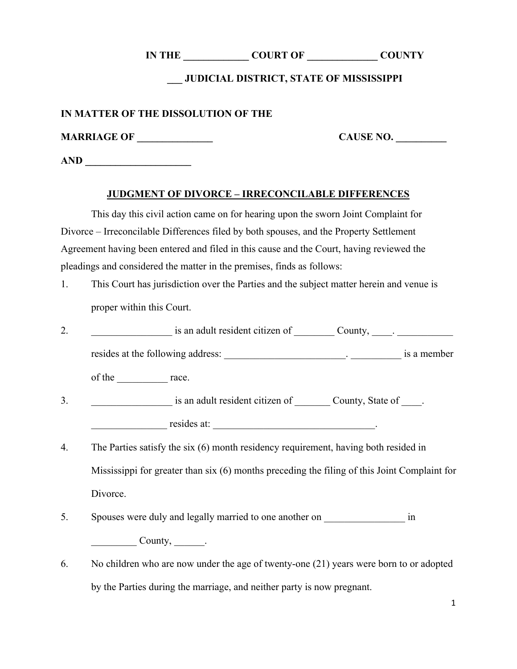**IN THE \_\_\_\_\_\_\_\_\_\_\_\_\_ COURT OF \_\_\_\_\_\_\_\_\_\_\_\_\_\_ COUNTY** 

### **\_\_\_ JUDICIAL DISTRICT, STATE OF MISSISSIPPI**

#### **IN MATTER OF THE DISSOLUTION OF THE**

**MARRIAGE OF \_\_\_\_\_\_\_\_\_\_\_\_\_\_\_**

**CAUSE NO. \_\_\_\_\_\_\_\_\_\_**

**AND \_\_\_\_\_\_\_\_\_\_\_\_\_\_\_\_\_\_\_\_\_**

#### **JUDGMENT OF DIVORCE – IRRECONCILABLE DIFFERENCES**

This day this civil action came on for hearing upon the sworn Joint Complaint for Divorce – Irreconcilable Differences filed by both spouses, and the Property Settlement Agreement having been entered and filed in this cause and the Court, having reviewed the pleadings and considered the matter in the premises, finds as follows:

- 1. This Court has jurisdiction over the Parties and the subject matter herein and venue is proper within this Court.
- 2. an adult resident citizen of County,  $\Box$ resides at the following address: \_\_\_\_\_\_\_\_\_\_\_\_\_\_\_\_\_\_\_\_\_\_\_\_. \_\_\_\_\_\_\_\_\_\_ is a member of the race. 3.  $\qquad \qquad$  is an adult resident citizen of  $\qquad \qquad$  County, State of  $\qquad$ . resides at:  $\blacksquare$
- 4. The Parties satisfy the six (6) month residency requirement, having both resided in Mississippi for greater than six (6) months preceding the filing of this Joint Complaint for Divorce.
- 5. Spouses were duly and legally married to one another on  $\qquad \qquad$  in  $County,$  .
- 6. No children who are now under the age of twenty-one (21) years were born to or adopted by the Parties during the marriage, and neither party is now pregnant.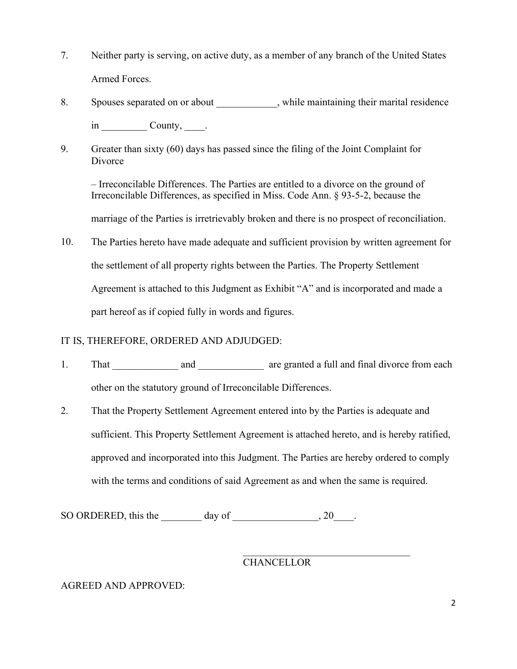- 7. Neither party is serving, on active duty, as a member of any branch of the United States Armed Forces.
- 8. Spouses separated on or about the substitution while maintaining their marital residence in County, .
- 9. Greater than sixty (60) days has passed since the filing of the Joint Complaint for **Divorce**

– Irreconcilable Differences. The Parties are entitled to a divorce on the ground of Irreconcilable Differences, as specified in Miss. Code Ann. § 93-5-2, because the

marriage of the Parties is irretrievably broken and there is no prospect of reconciliation.

10. The Parties hereto have made adequate and sufficient provision by written agreement for the settlement of all property rights between the Parties. The Property Settlement Agreement is attached to this Judgment as Exhibit "A" and is incorporated and made a part hereof as if copied fully in words and figures.

## IT IS, THEREFORE, ORDERED AND ADJUDGED:

- 1. That and and are granted a full and final divorce from each other on the statutory ground of Irreconcilable Differences.
- 2. That the Property Settlement Agreement entered into by the Parties is adequate and sufficient. This Property Settlement Agreement is attached hereto, and is hereby ratified, approved and incorporated into this Judgment. The Parties are hereby ordered to comply with the terms and conditions of said Agreement as and when the same is required.

SO ORDERED, this the day of the set of the set of the set of the set of the set of the set of the set of the set of the set of the set of the set of the set of the set of the set of the set of the set of the set of the set

# **CHANCELLOR**

## AGREED AND APPROVED: